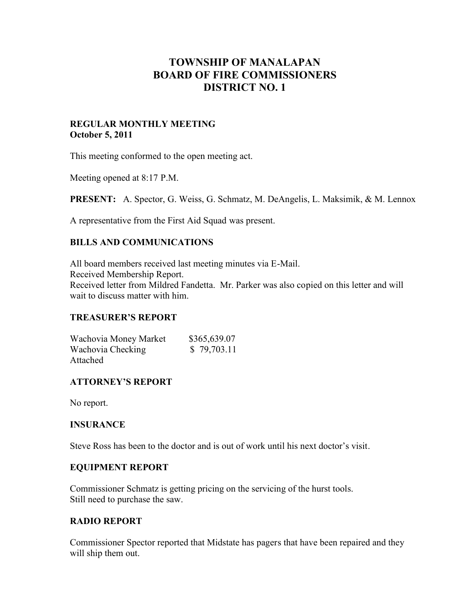# **TOWNSHIP OF MANALAPAN BOARD OF FIRE COMMISSIONERS DISTRICT NO. 1**

## **REGULAR MONTHLY MEETING October 5, 2011**

This meeting conformed to the open meeting act.

Meeting opened at 8:17 P.M.

**PRESENT:** A. Spector, G. Weiss, G. Schmatz, M. DeAngelis, L. Maksimik, & M. Lennox

A representative from the First Aid Squad was present.

## **BILLS AND COMMUNICATIONS**

All board members received last meeting minutes via E-Mail. Received Membership Report. Received letter from Mildred Fandetta. Mr. Parker was also copied on this letter and will wait to discuss matter with him.

## **TREASURER'S REPORT**

Wachovia Money Market \$365,639.07 Wachovia Checking \$ 79,703.11 Attached

## **ATTORNEY'S REPORT**

No report.

## **INSURANCE**

Steve Ross has been to the doctor and is out of work until his next doctor's visit.

## **EQUIPMENT REPORT**

Commissioner Schmatz is getting pricing on the servicing of the hurst tools. Still need to purchase the saw.

## **RADIO REPORT**

Commissioner Spector reported that Midstate has pagers that have been repaired and they will ship them out.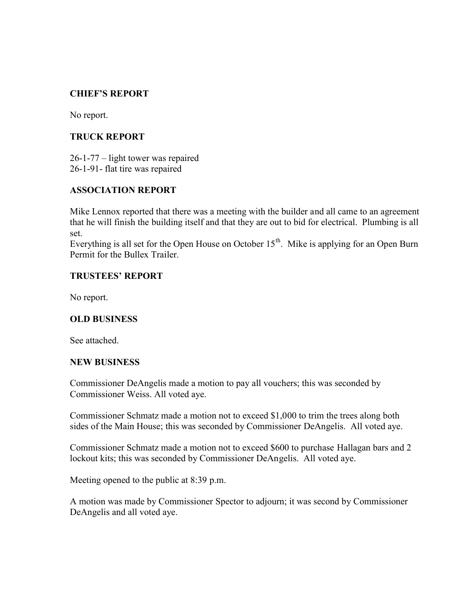## **CHIEF'S REPORT**

No report.

## **TRUCK REPORT**

26-1-77 – light tower was repaired 26-1-91- flat tire was repaired

## **ASSOCIATION REPORT**

Mike Lennox reported that there was a meeting with the builder and all came to an agreement that he will finish the building itself and that they are out to bid for electrical. Plumbing is all set.

Everything is all set for the Open House on October  $15<sup>th</sup>$ . Mike is applying for an Open Burn Permit for the Bullex Trailer.

## **TRUSTEES' REPORT**

No report.

#### **OLD BUSINESS**

See attached.

#### **NEW BUSINESS**

Commissioner DeAngelis made a motion to pay all vouchers; this was seconded by Commissioner Weiss. All voted aye.

Commissioner Schmatz made a motion not to exceed \$1,000 to trim the trees along both sides of the Main House; this was seconded by Commissioner DeAngelis. All voted aye.

Commissioner Schmatz made a motion not to exceed \$600 to purchase Hallagan bars and 2 lockout kits; this was seconded by Commissioner DeAngelis. All voted aye.

Meeting opened to the public at 8:39 p.m.

A motion was made by Commissioner Spector to adjourn; it was second by Commissioner DeAngelis and all voted aye.